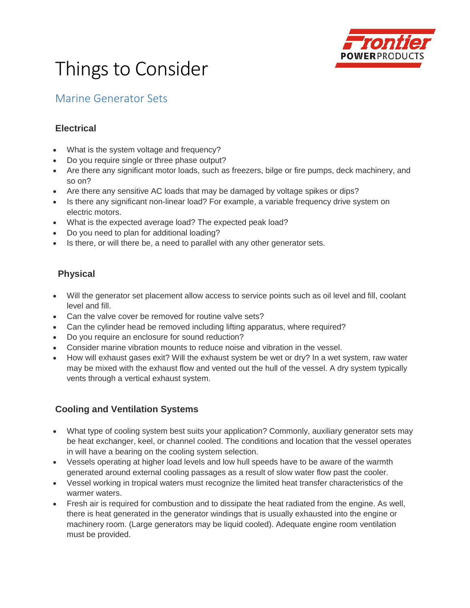

# Things to Consider

## Marine Generator Sets

#### **Electrical**

- What is the system voltage and frequency?
- Do you require single or three phase output?
- Are there any significant motor loads, such as freezers, bilge or fire pumps, deck machinery, and so on?
- Are there any sensitive AC loads that may be damaged by voltage spikes or dips?
- Is there any significant non-linear load? For example, a variable frequency drive system on electric motors.
- What is the expected average load? The expected peak load?
- Do you need to plan for additional loading?
- Is there, or will there be, a need to parallel with any other generator sets.

### **Physical**

- Will the generator set placement allow access to service points such as oil level and fill, coolant level and fill.
- Can the valve cover be removed for routine valve sets?
- Can the cylinder head be removed including lifting apparatus, where required?
- Do you require an enclosure for sound reduction?
- Consider marine vibration mounts to reduce noise and vibration in the vessel.
- How will exhaust gases exit? Will the exhaust system be wet or dry? In a wet system, raw water may be mixed with the exhaust flow and vented out the hull of the vessel. A dry system typically vents through a vertical exhaust system.

#### **Cooling and Ventilation Systems**

- What type of cooling system best suits your application? Commonly, auxiliary generator sets may be heat exchanger, keel, or channel cooled. The conditions and location that the vessel operates in will have a bearing on the cooling system selection.
- Vessels operating at higher load levels and low hull speeds have to be aware of the warmth generated around external cooling passages as a result of slow water flow past the cooler.
- Vessel working in tropical waters must recognize the limited heat transfer characteristics of the warmer waters.
- Fresh air is required for combustion and to dissipate the heat radiated from the engine. As well, there is heat generated in the generator windings that is usually exhausted into the engine or machinery room. (Large generators may be liquid cooled). Adequate engine room ventilation must be provided.